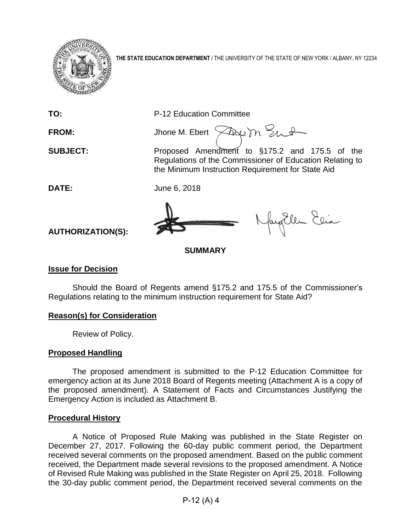

**THE STATE EDUCATION DEPARTMENT** / THE UNIVERSITY OF THE STATE OF NEW YORK / ALBANY, NY 12234

**TO:** P-12 Education Committee

FROM: Jhone M. Ebert  $\widehat{\times}$ me M.  $\frac{1}{2}$ 

**SUBJECT:** Proposed Amendment to §175.2 and 175.5 of the Regulations of the Commissioner of Education Relating to the Minimum Instruction Requirement for State Aid

**DATE:** June 6, 2018

fay Ellen Elia

**AUTHORIZATION(S):**

**SUMMARY**

# **Issue for Decision**

Should the Board of Regents amend §175.2 and 175.5 of the Commissioner's Regulations relating to the minimum instruction requirement for State Aid?

# **Reason(s) for Consideration**

Review of Policy.

# **Proposed Handling**

The proposed amendment is submitted to the P-12 Education Committee for emergency action at its June 2018 Board of Regents meeting (Attachment A is a copy of the proposed amendment). A Statement of Facts and Circumstances Justifying the Emergency Action is included as Attachment B.

# **Procedural History**

A Notice of Proposed Rule Making was published in the State Register on December 27, 2017. Following the 60-day public comment period, the Department received several comments on the proposed amendment. Based on the public comment received, the Department made several revisions to the proposed amendment. A Notice of Revised Rule Making was published in the State Register on April 25, 2018. Following the 30-day public comment period, the Department received several comments on the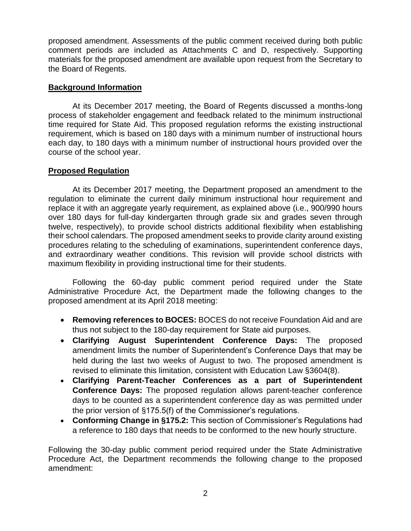proposed amendment. Assessments of the public comment received during both public comment periods are included as Attachments C and D, respectively. Supporting materials for the proposed amendment are available upon request from the Secretary to the Board of Regents.

# **Background Information**

At its December 2017 meeting, the Board of Regents discussed a months-long process of stakeholder engagement and feedback related to the minimum instructional time required for State Aid. This proposed regulation reforms the existing instructional requirement, which is based on 180 days with a minimum number of instructional hours each day, to 180 days with a minimum number of instructional hours provided over the course of the school year.

# **Proposed Regulation**

At its December 2017 meeting, the Department proposed an amendment to the regulation to eliminate the current daily minimum instructional hour requirement and replace it with an aggregate yearly requirement, as explained above (i.e., 900/990 hours over 180 days for full-day kindergarten through grade six and grades seven through twelve, respectively), to provide school districts additional flexibility when establishing their school calendars. The proposed amendment seeks to provide clarity around existing procedures relating to the scheduling of examinations, superintendent conference days, and extraordinary weather conditions. This revision will provide school districts with maximum flexibility in providing instructional time for their students.

Following the 60-day public comment period required under the State Administrative Procedure Act, the Department made the following changes to the proposed amendment at its April 2018 meeting:

- **Removing references to BOCES:** BOCES do not receive Foundation Aid and are thus not subject to the 180-day requirement for State aid purposes.
- **Clarifying August Superintendent Conference Days:** The proposed amendment limits the number of Superintendent's Conference Days that may be held during the last two weeks of August to two. The proposed amendment is revised to eliminate this limitation, consistent with Education Law §3604(8).
- **Clarifying Parent-Teacher Conferences as a part of Superintendent Conference Days:** The proposed regulation allows parent-teacher conference days to be counted as a superintendent conference day as was permitted under the prior version of §175.5(f) of the Commissioner's regulations.
- **Conforming Change in §175.2:** This section of Commissioner's Regulations had a reference to 180 days that needs to be conformed to the new hourly structure.

Following the 30-day public comment period required under the State Administrative Procedure Act, the Department recommends the following change to the proposed amendment: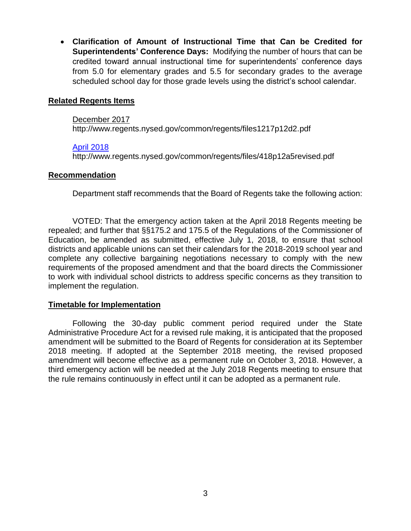• **Clarification of Amount of Instructional Time that Can be Credited for Superintendents' Conference Days:** Modifying the number of hours that can be credited toward annual instructional time for superintendents' conference days from 5.0 for elementary grades and 5.5 for secondary grades to the average scheduled school day for those grade levels using the district's school calendar.

# **Related Regents Items**

# [December 2017](http://www.regents.nysed.gov/common/regents/files/1217p12d2.pdf)

http://www.regents.nysed.gov/common/regents/files1217p12d2.pdf

# [April 2018](http://www.regents.nysed.gov/common/regents/files/418p12a5revised.pdf)

http://www.regents.nysed.gov/common/regents/files/418p12a5revised.pdf

# **Recommendation**

Department staff recommends that the Board of Regents take the following action:

VOTED: That the emergency action taken at the April 2018 Regents meeting be repealed; and further that §§175.2 and 175.5 of the Regulations of the Commissioner of Education, be amended as submitted, effective July 1, 2018, to ensure that school districts and applicable unions can set their calendars for the 2018-2019 school year and complete any collective bargaining negotiations necessary to comply with the new requirements of the proposed amendment and that the board directs the Commissioner to work with individual school districts to address specific concerns as they transition to implement the regulation.

# **Timetable for Implementation**

Following the 30-day public comment period required under the State Administrative Procedure Act for a revised rule making, it is anticipated that the proposed amendment will be submitted to the Board of Regents for consideration at its September 2018 meeting. If adopted at the September 2018 meeting, the revised proposed amendment will become effective as a permanent rule on October 3, 2018. However, a third emergency action will be needed at the July 2018 Regents meeting to ensure that the rule remains continuously in effect until it can be adopted as a permanent rule.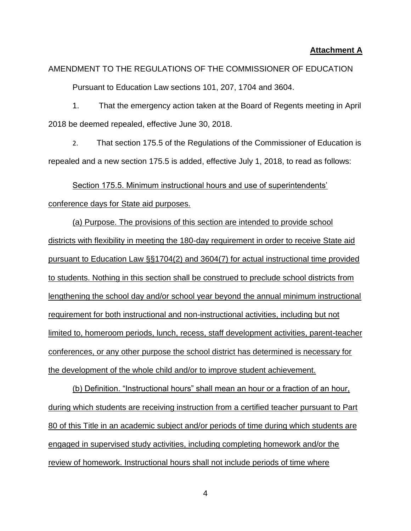#### **Attachment A**

# AMENDMENT TO THE REGULATIONS OF THE COMMISSIONER OF EDUCATION Pursuant to Education Law sections 101, 207, 1704 and 3604.

1. That the emergency action taken at the Board of Regents meeting in April 2018 be deemed repealed, effective June 30, 2018.

2. That section 175.5 of the Regulations of the Commissioner of Education is repealed and a new section 175.5 is added, effective July 1, 2018, to read as follows:

Section 175.5. Minimum instructional hours and use of superintendents' conference days for State aid purposes.

(a) Purpose. The provisions of this section are intended to provide school districts with flexibility in meeting the 180-day requirement in order to receive State aid pursuant to Education Law §§1704(2) and 3604(7) for actual instructional time provided to students. Nothing in this section shall be construed to preclude school districts from lengthening the school day and/or school year beyond the annual minimum instructional requirement for both instructional and non-instructional activities, including but not limited to, homeroom periods, lunch, recess, staff development activities, parent-teacher conferences, or any other purpose the school district has determined is necessary for the development of the whole child and/or to improve student achievement.

(b) Definition. "Instructional hours" shall mean an hour or a fraction of an hour, during which students are receiving instruction from a certified teacher pursuant to Part 80 of this Title in an academic subject and/or periods of time during which students are engaged in supervised study activities, including completing homework and/or the review of homework. Instructional hours shall not include periods of time where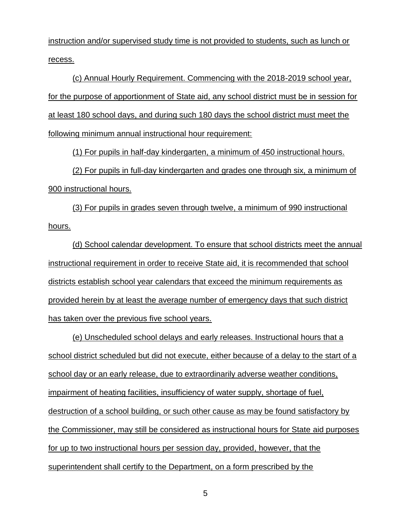instruction and/or supervised study time is not provided to students, such as lunch or recess.

(c) Annual Hourly Requirement. Commencing with the 2018-2019 school year, for the purpose of apportionment of State aid, any school district must be in session for at least 180 school days, and during such 180 days the school district must meet the following minimum annual instructional hour requirement:

(1) For pupils in half-day kindergarten, a minimum of 450 instructional hours.

(2) For pupils in full-day kindergarten and grades one through six, a minimum of 900 instructional hours.

(3) For pupils in grades seven through twelve, a minimum of 990 instructional hours.

(d) School calendar development. To ensure that school districts meet the annual instructional requirement in order to receive State aid, it is recommended that school districts establish school year calendars that exceed the minimum requirements as provided herein by at least the average number of emergency days that such district has taken over the previous five school years.

(e) Unscheduled school delays and early releases. Instructional hours that a school district scheduled but did not execute, either because of a delay to the start of a school day or an early release, due to extraordinarily adverse weather conditions, impairment of heating facilities, insufficiency of water supply, shortage of fuel, destruction of a school building, or such other cause as may be found satisfactory by the Commissioner, may still be considered as instructional hours for State aid purposes for up to two instructional hours per session day, provided, however, that the superintendent shall certify to the Department, on a form prescribed by the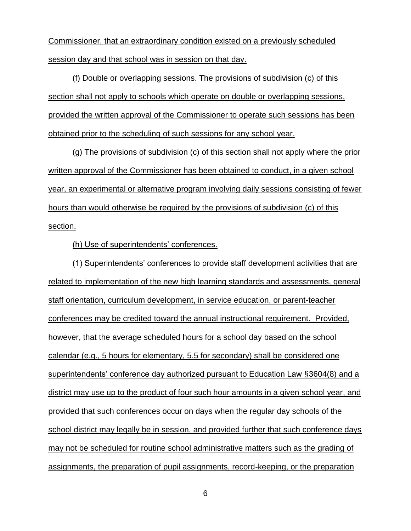Commissioner, that an extraordinary condition existed on a previously scheduled session day and that school was in session on that day.

(f) Double or overlapping sessions. The provisions of subdivision (c) of this section shall not apply to schools which operate on double or overlapping sessions, provided the written approval of the Commissioner to operate such sessions has been obtained prior to the scheduling of such sessions for any school year.

(g) The provisions of subdivision (c) of this section shall not apply where the prior written approval of the Commissioner has been obtained to conduct, in a given school year, an experimental or alternative program involving daily sessions consisting of fewer hours than would otherwise be required by the provisions of subdivision (c) of this section.

(h) Use of superintendents' conferences.

(1) Superintendents' conferences to provide staff development activities that are related to implementation of the new high learning standards and assessments, general staff orientation, curriculum development, in service education, or parent-teacher conferences may be credited toward the annual instructional requirement. Provided, however, that the average scheduled hours for a school day based on the school calendar (e.g., 5 hours for elementary, 5.5 for secondary) shall be considered one superintendents' conference day authorized pursuant to Education Law §3604(8) and a district may use up to the product of four such hour amounts in a given school year, and provided that such conferences occur on days when the regular day schools of the school district may legally be in session, and provided further that such conference days may not be scheduled for routine school administrative matters such as the grading of assignments, the preparation of pupil assignments, record-keeping, or the preparation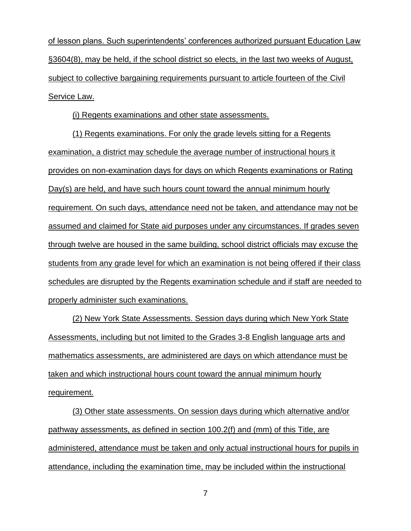of lesson plans. Such superintendents' conferences authorized pursuant Education Law §3604(8), may be held, if the school district so elects, in the last two weeks of August, subject to collective bargaining requirements pursuant to article fourteen of the Civil Service Law.

(i) Regents examinations and other state assessments.

(1) Regents examinations. For only the grade levels sitting for a Regents examination, a district may schedule the average number of instructional hours it provides on non-examination days for days on which Regents examinations or Rating Day(s) are held, and have such hours count toward the annual minimum hourly requirement. On such days, attendance need not be taken, and attendance may not be assumed and claimed for State aid purposes under any circumstances. If grades seven through twelve are housed in the same building, school district officials may excuse the students from any grade level for which an examination is not being offered if their class schedules are disrupted by the Regents examination schedule and if staff are needed to properly administer such examinations.

(2) New York State Assessments. Session days during which New York State Assessments, including but not limited to the Grades 3-8 English language arts and mathematics assessments, are administered are days on which attendance must be taken and which instructional hours count toward the annual minimum hourly requirement.

(3) Other state assessments. On session days during which alternative and/or pathway assessments, as defined in section 100.2(f) and (mm) of this Title, are administered, attendance must be taken and only actual instructional hours for pupils in attendance, including the examination time, may be included within the instructional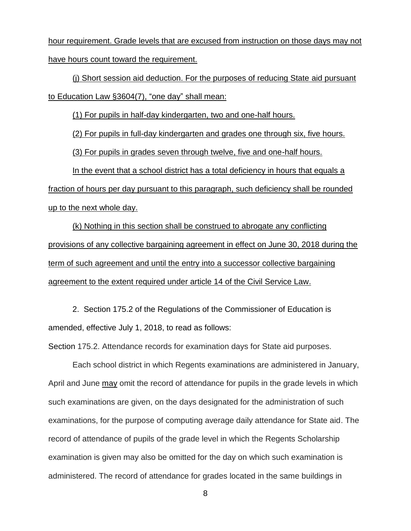hour requirement. Grade levels that are excused from instruction on those days may not have hours count toward the requirement.

(j) Short session aid deduction. For the purposes of reducing State aid pursuant to Education Law §3604(7), "one day" shall mean:

(1) For pupils in half-day kindergarten, two and one-half hours.

(2) For pupils in full-day kindergarten and grades one through six, five hours.

(3) For pupils in grades seven through twelve, five and one-half hours.

In the event that a school district has a total deficiency in hours that equals a fraction of hours per day pursuant to this paragraph, such deficiency shall be rounded up to the next whole day.

(k) Nothing in this section shall be construed to abrogate any conflicting provisions of any collective bargaining agreement in effect on June 30, 2018 during the term of such agreement and until the entry into a successor collective bargaining agreement to the extent required under article 14 of the Civil Service Law.

2. Section 175.2 of the Regulations of the Commissioner of Education is amended, effective July 1, 2018, to read as follows:

Section 175.2. Attendance records for examination days for State aid purposes.

Each school district in which Regents examinations are administered in January, April and June may omit the record of attendance for pupils in the grade levels in which such examinations are given, on the days designated for the administration of such examinations, for the purpose of computing average daily attendance for State aid. The record of attendance of pupils of the grade level in which the Regents Scholarship examination is given may also be omitted for the day on which such examination is administered. The record of attendance for grades located in the same buildings in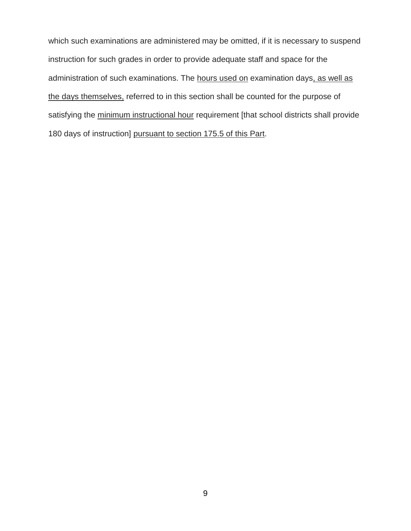which such examinations are administered may be omitted, if it is necessary to suspend instruction for such grades in order to provide adequate staff and space for the administration of such examinations. The hours used on examination days, as well as the days themselves, referred to in this section shall be counted for the purpose of satisfying the minimum instructional hour requirement [that school districts shall provide 180 days of instruction] pursuant to section 175.5 of this Part.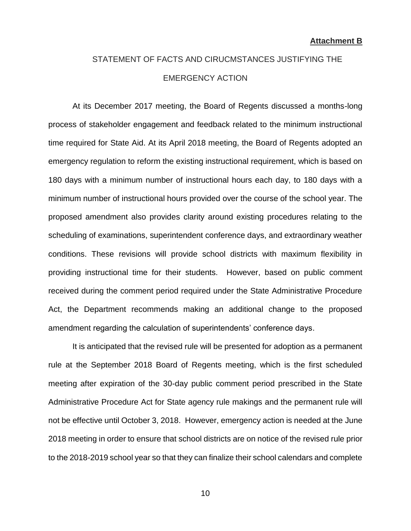# STATEMENT OF FACTS AND CIRUCMSTANCES JUSTIFYING THE EMERGENCY ACTION

At its December 2017 meeting, the Board of Regents discussed a months-long process of stakeholder engagement and feedback related to the minimum instructional time required for State Aid. At its April 2018 meeting, the Board of Regents adopted an emergency regulation to reform the existing instructional requirement, which is based on 180 days with a minimum number of instructional hours each day, to 180 days with a minimum number of instructional hours provided over the course of the school year. The proposed amendment also provides clarity around existing procedures relating to the scheduling of examinations, superintendent conference days, and extraordinary weather conditions. These revisions will provide school districts with maximum flexibility in providing instructional time for their students. However, based on public comment received during the comment period required under the State Administrative Procedure Act, the Department recommends making an additional change to the proposed amendment regarding the calculation of superintendents' conference days.

It is anticipated that the revised rule will be presented for adoption as a permanent rule at the September 2018 Board of Regents meeting, which is the first scheduled meeting after expiration of the 30-day public comment period prescribed in the State Administrative Procedure Act for State agency rule makings and the permanent rule will not be effective until October 3, 2018. However, emergency action is needed at the June 2018 meeting in order to ensure that school districts are on notice of the revised rule prior to the 2018-2019 school year so that they can finalize their school calendars and complete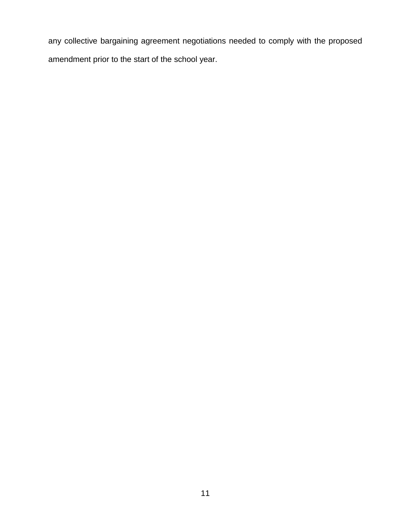any collective bargaining agreement negotiations needed to comply with the proposed amendment prior to the start of the school year.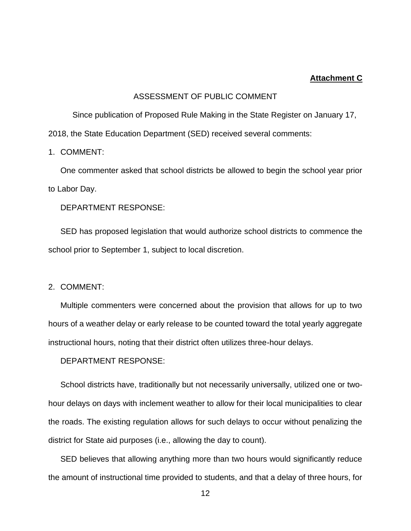# **Attachment C**

#### ASSESSMENT OF PUBLIC COMMENT

Since publication of Proposed Rule Making in the State Register on January 17, 2018, the State Education Department (SED) received several comments:

1. COMMENT:

One commenter asked that school districts be allowed to begin the school year prior to Labor Day.

DEPARTMENT RESPONSE:

SED has proposed legislation that would authorize school districts to commence the school prior to September 1, subject to local discretion.

2. COMMENT:

Multiple commenters were concerned about the provision that allows for up to two hours of a weather delay or early release to be counted toward the total yearly aggregate instructional hours, noting that their district often utilizes three-hour delays.

DEPARTMENT RESPONSE:

School districts have, traditionally but not necessarily universally, utilized one or twohour delays on days with inclement weather to allow for their local municipalities to clear the roads. The existing regulation allows for such delays to occur without penalizing the district for State aid purposes (i.e., allowing the day to count).

SED believes that allowing anything more than two hours would significantly reduce the amount of instructional time provided to students, and that a delay of three hours, for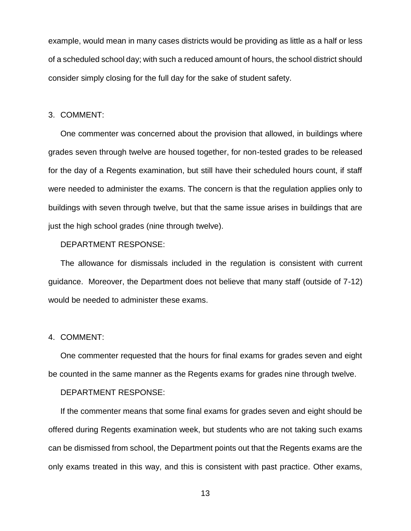example, would mean in many cases districts would be providing as little as a half or less of a scheduled school day; with such a reduced amount of hours, the school district should consider simply closing for the full day for the sake of student safety.

#### 3. COMMENT:

One commenter was concerned about the provision that allowed, in buildings where grades seven through twelve are housed together, for non-tested grades to be released for the day of a Regents examination, but still have their scheduled hours count, if staff were needed to administer the exams. The concern is that the regulation applies only to buildings with seven through twelve, but that the same issue arises in buildings that are just the high school grades (nine through twelve).

# DEPARTMENT RESPONSE:

The allowance for dismissals included in the regulation is consistent with current guidance. Moreover, the Department does not believe that many staff (outside of 7-12) would be needed to administer these exams.

# 4. COMMENT:

One commenter requested that the hours for final exams for grades seven and eight be counted in the same manner as the Regents exams for grades nine through twelve.

# DEPARTMENT RESPONSE:

If the commenter means that some final exams for grades seven and eight should be offered during Regents examination week, but students who are not taking such exams can be dismissed from school, the Department points out that the Regents exams are the only exams treated in this way, and this is consistent with past practice. Other exams,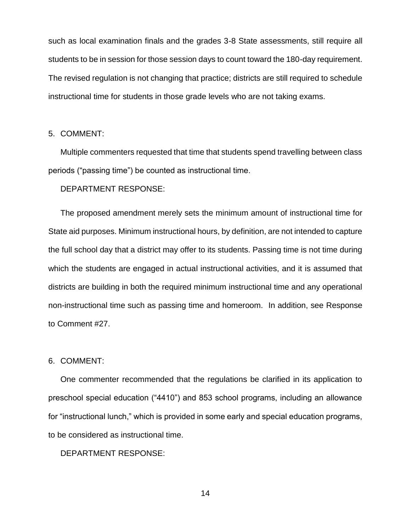such as local examination finals and the grades 3-8 State assessments, still require all students to be in session for those session days to count toward the 180-day requirement. The revised regulation is not changing that practice; districts are still required to schedule instructional time for students in those grade levels who are not taking exams.

#### 5. COMMENT:

Multiple commenters requested that time that students spend travelling between class periods ("passing time") be counted as instructional time.

# DEPARTMENT RESPONSE:

The proposed amendment merely sets the minimum amount of instructional time for State aid purposes. Minimum instructional hours, by definition, are not intended to capture the full school day that a district may offer to its students. Passing time is not time during which the students are engaged in actual instructional activities, and it is assumed that districts are building in both the required minimum instructional time and any operational non-instructional time such as passing time and homeroom. In addition, see Response to Comment #27.

#### 6. COMMENT:

One commenter recommended that the regulations be clarified in its application to preschool special education ("4410") and 853 school programs, including an allowance for "instructional lunch," which is provided in some early and special education programs, to be considered as instructional time.

# DEPARTMENT RESPONSE: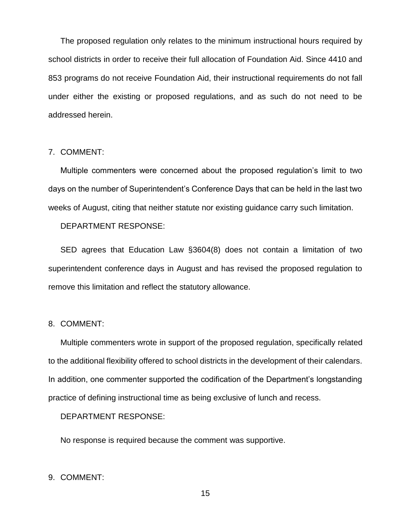The proposed regulation only relates to the minimum instructional hours required by school districts in order to receive their full allocation of Foundation Aid. Since 4410 and 853 programs do not receive Foundation Aid, their instructional requirements do not fall under either the existing or proposed regulations, and as such do not need to be addressed herein.

# 7. COMMENT:

Multiple commenters were concerned about the proposed regulation's limit to two days on the number of Superintendent's Conference Days that can be held in the last two weeks of August, citing that neither statute nor existing guidance carry such limitation.

DEPARTMENT RESPONSE:

SED agrees that Education Law §3604(8) does not contain a limitation of two superintendent conference days in August and has revised the proposed regulation to remove this limitation and reflect the statutory allowance.

# 8. COMMENT:

Multiple commenters wrote in support of the proposed regulation, specifically related to the additional flexibility offered to school districts in the development of their calendars. In addition, one commenter supported the codification of the Department's longstanding practice of defining instructional time as being exclusive of lunch and recess.

DEPARTMENT RESPONSE:

No response is required because the comment was supportive.

# 9. COMMENT: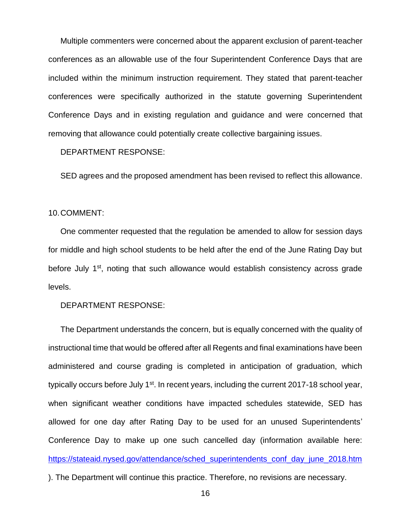Multiple commenters were concerned about the apparent exclusion of parent-teacher conferences as an allowable use of the four Superintendent Conference Days that are included within the minimum instruction requirement. They stated that parent-teacher conferences were specifically authorized in the statute governing Superintendent Conference Days and in existing regulation and guidance and were concerned that removing that allowance could potentially create collective bargaining issues.

DEPARTMENT RESPONSE:

SED agrees and the proposed amendment has been revised to reflect this allowance.

#### 10.COMMENT:

One commenter requested that the regulation be amended to allow for session days for middle and high school students to be held after the end of the June Rating Day but before July 1<sup>st</sup>, noting that such allowance would establish consistency across grade levels.

#### DEPARTMENT RESPONSE:

The Department understands the concern, but is equally concerned with the quality of instructional time that would be offered after all Regents and final examinations have been administered and course grading is completed in anticipation of graduation, which typically occurs before July 1<sup>st</sup>. In recent years, including the current 2017-18 school year, when significant weather conditions have impacted schedules statewide, SED has allowed for one day after Rating Day to be used for an unused Superintendents' Conference Day to make up one such cancelled day (information available here: [https://stateaid.nysed.gov/attendance/sched\\_superintendents\\_conf\\_day\\_june\\_2018.htm](https://stateaid.nysed.gov/attendance/sched_superintendents_conf_day_june_2018.htm) ). The Department will continue this practice. Therefore, no revisions are necessary.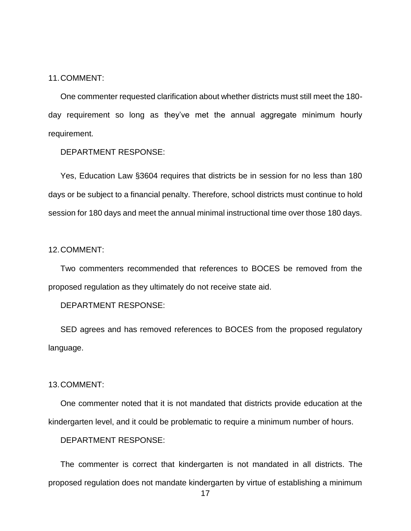#### 11.COMMENT:

One commenter requested clarification about whether districts must still meet the 180 day requirement so long as they've met the annual aggregate minimum hourly requirement.

# DEPARTMENT RESPONSE:

Yes, Education Law §3604 requires that districts be in session for no less than 180 days or be subject to a financial penalty. Therefore, school districts must continue to hold session for 180 days and meet the annual minimal instructional time over those 180 days.

#### 12.COMMENT:

Two commenters recommended that references to BOCES be removed from the proposed regulation as they ultimately do not receive state aid.

# DEPARTMENT RESPONSE:

SED agrees and has removed references to BOCES from the proposed regulatory language.

# 13.COMMENT:

One commenter noted that it is not mandated that districts provide education at the kindergarten level, and it could be problematic to require a minimum number of hours.

DEPARTMENT RESPONSE:

The commenter is correct that kindergarten is not mandated in all districts. The proposed regulation does not mandate kindergarten by virtue of establishing a minimum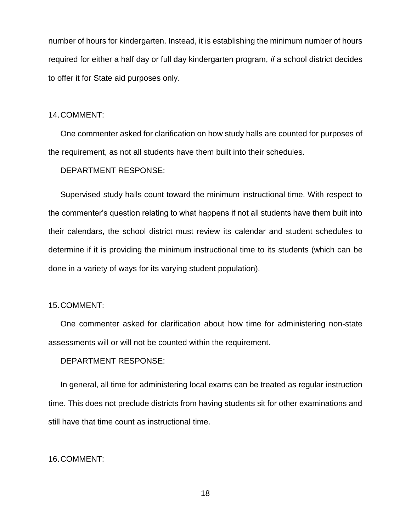number of hours for kindergarten. Instead, it is establishing the minimum number of hours required for either a half day or full day kindergarten program, *if* a school district decides to offer it for State aid purposes only.

#### 14.COMMENT:

One commenter asked for clarification on how study halls are counted for purposes of the requirement, as not all students have them built into their schedules.

# DEPARTMENT RESPONSE:

Supervised study halls count toward the minimum instructional time. With respect to the commenter's question relating to what happens if not all students have them built into their calendars, the school district must review its calendar and student schedules to determine if it is providing the minimum instructional time to its students (which can be done in a variety of ways for its varying student population).

#### 15.COMMENT:

One commenter asked for clarification about how time for administering non-state assessments will or will not be counted within the requirement.

# DEPARTMENT RESPONSE:

In general, all time for administering local exams can be treated as regular instruction time. This does not preclude districts from having students sit for other examinations and still have that time count as instructional time.

# 16.COMMENT: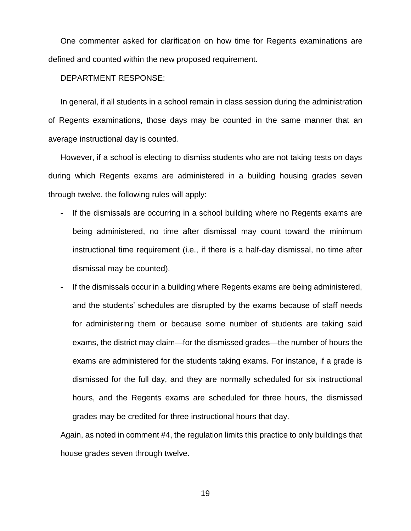One commenter asked for clarification on how time for Regents examinations are defined and counted within the new proposed requirement.

DEPARTMENT RESPONSE:

In general, if all students in a school remain in class session during the administration of Regents examinations, those days may be counted in the same manner that an average instructional day is counted.

However, if a school is electing to dismiss students who are not taking tests on days during which Regents exams are administered in a building housing grades seven through twelve, the following rules will apply:

- If the dismissals are occurring in a school building where no Regents exams are being administered, no time after dismissal may count toward the minimum instructional time requirement (i.e., if there is a half-day dismissal, no time after dismissal may be counted).
- If the dismissals occur in a building where Regents exams are being administered, and the students' schedules are disrupted by the exams because of staff needs for administering them or because some number of students are taking said exams, the district may claim—for the dismissed grades—the number of hours the exams are administered for the students taking exams. For instance, if a grade is dismissed for the full day, and they are normally scheduled for six instructional hours, and the Regents exams are scheduled for three hours, the dismissed grades may be credited for three instructional hours that day.

Again, as noted in comment #4, the regulation limits this practice to only buildings that house grades seven through twelve.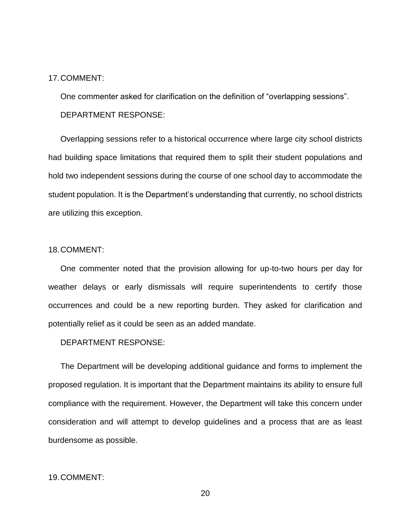#### 17.COMMENT:

One commenter asked for clarification on the definition of "overlapping sessions". DEPARTMENT RESPONSE:

Overlapping sessions refer to a historical occurrence where large city school districts had building space limitations that required them to split their student populations and hold two independent sessions during the course of one school day to accommodate the student population. It is the Department's understanding that currently, no school districts are utilizing this exception.

#### 18.COMMENT:

One commenter noted that the provision allowing for up-to-two hours per day for weather delays or early dismissals will require superintendents to certify those occurrences and could be a new reporting burden. They asked for clarification and potentially relief as it could be seen as an added mandate.

DEPARTMENT RESPONSE:

The Department will be developing additional guidance and forms to implement the proposed regulation. It is important that the Department maintains its ability to ensure full compliance with the requirement. However, the Department will take this concern under consideration and will attempt to develop guidelines and a process that are as least burdensome as possible.

# 19.COMMENT: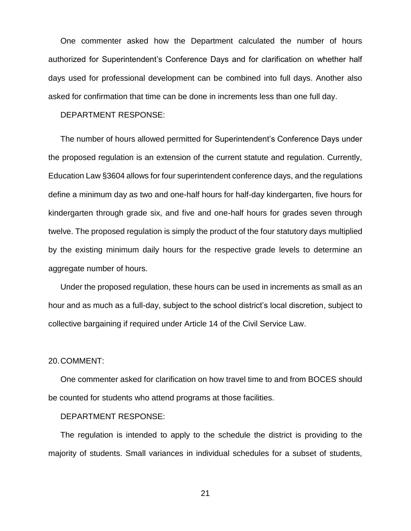One commenter asked how the Department calculated the number of hours authorized for Superintendent's Conference Days and for clarification on whether half days used for professional development can be combined into full days. Another also asked for confirmation that time can be done in increments less than one full day.

#### DEPARTMENT RESPONSE:

The number of hours allowed permitted for Superintendent's Conference Days under the proposed regulation is an extension of the current statute and regulation. Currently, Education Law §3604 allows for four superintendent conference days, and the regulations define a minimum day as two and one-half hours for half-day kindergarten, five hours for kindergarten through grade six, and five and one-half hours for grades seven through twelve. The proposed regulation is simply the product of the four statutory days multiplied by the existing minimum daily hours for the respective grade levels to determine an aggregate number of hours.

Under the proposed regulation, these hours can be used in increments as small as an hour and as much as a full-day, subject to the school district's local discretion, subject to collective bargaining if required under Article 14 of the Civil Service Law.

#### 20.COMMENT:

One commenter asked for clarification on how travel time to and from BOCES should be counted for students who attend programs at those facilities.

#### DEPARTMENT RESPONSE:

The regulation is intended to apply to the schedule the district is providing to the majority of students. Small variances in individual schedules for a subset of students,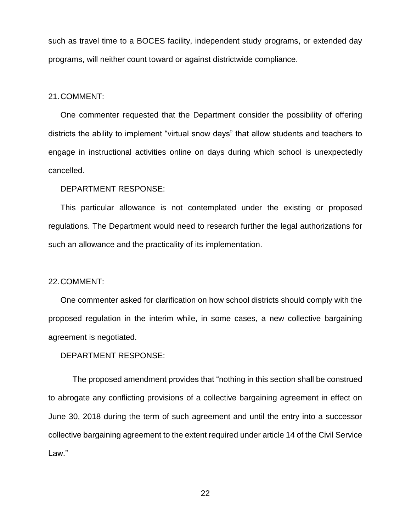such as travel time to a BOCES facility, independent study programs, or extended day programs, will neither count toward or against districtwide compliance.

#### 21.COMMENT:

One commenter requested that the Department consider the possibility of offering districts the ability to implement "virtual snow days" that allow students and teachers to engage in instructional activities online on days during which school is unexpectedly cancelled.

# DEPARTMENT RESPONSE:

This particular allowance is not contemplated under the existing or proposed regulations. The Department would need to research further the legal authorizations for such an allowance and the practicality of its implementation.

# 22.COMMENT:

One commenter asked for clarification on how school districts should comply with the proposed regulation in the interim while, in some cases, a new collective bargaining agreement is negotiated.

# DEPARTMENT RESPONSE:

The proposed amendment provides that "nothing in this section shall be construed to abrogate any conflicting provisions of a collective bargaining agreement in effect on June 30, 2018 during the term of such agreement and until the entry into a successor collective bargaining agreement to the extent required under article 14 of the Civil Service Law."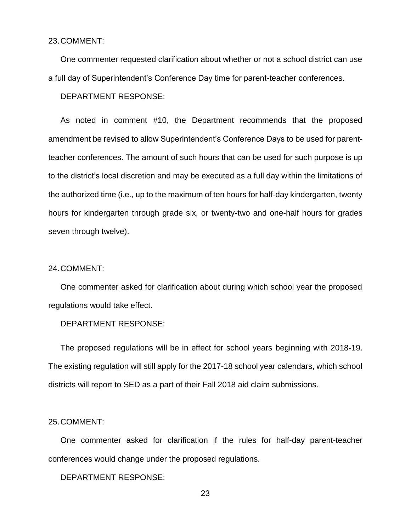23.COMMENT:

One commenter requested clarification about whether or not a school district can use a full day of Superintendent's Conference Day time for parent-teacher conferences.

DEPARTMENT RESPONSE:

As noted in comment #10, the Department recommends that the proposed amendment be revised to allow Superintendent's Conference Days to be used for parentteacher conferences. The amount of such hours that can be used for such purpose is up to the district's local discretion and may be executed as a full day within the limitations of the authorized time (i.e., up to the maximum of ten hours for half-day kindergarten, twenty hours for kindergarten through grade six, or twenty-two and one-half hours for grades seven through twelve).

#### 24.COMMENT:

One commenter asked for clarification about during which school year the proposed regulations would take effect.

DEPARTMENT RESPONSE:

The proposed regulations will be in effect for school years beginning with 2018-19. The existing regulation will still apply for the 2017-18 school year calendars, which school districts will report to SED as a part of their Fall 2018 aid claim submissions.

# 25.COMMENT:

One commenter asked for clarification if the rules for half-day parent-teacher conferences would change under the proposed regulations.

DEPARTMENT RESPONSE: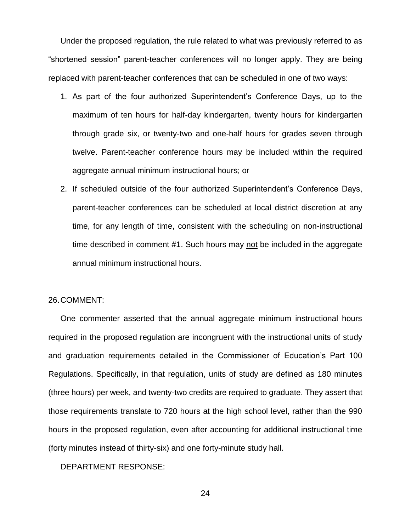Under the proposed regulation, the rule related to what was previously referred to as "shortened session" parent-teacher conferences will no longer apply. They are being replaced with parent-teacher conferences that can be scheduled in one of two ways:

- 1. As part of the four authorized Superintendent's Conference Days, up to the maximum of ten hours for half-day kindergarten, twenty hours for kindergarten through grade six, or twenty-two and one-half hours for grades seven through twelve. Parent-teacher conference hours may be included within the required aggregate annual minimum instructional hours; or
- 2. If scheduled outside of the four authorized Superintendent's Conference Days, parent-teacher conferences can be scheduled at local district discretion at any time, for any length of time, consistent with the scheduling on non-instructional time described in comment #1. Such hours may not be included in the aggregate annual minimum instructional hours.

# 26.COMMENT:

One commenter asserted that the annual aggregate minimum instructional hours required in the proposed regulation are incongruent with the instructional units of study and graduation requirements detailed in the Commissioner of Education's Part 100 Regulations. Specifically, in that regulation, units of study are defined as 180 minutes (three hours) per week, and twenty-two credits are required to graduate. They assert that those requirements translate to 720 hours at the high school level, rather than the 990 hours in the proposed regulation, even after accounting for additional instructional time (forty minutes instead of thirty-six) and one forty-minute study hall.

DEPARTMENT RESPONSE: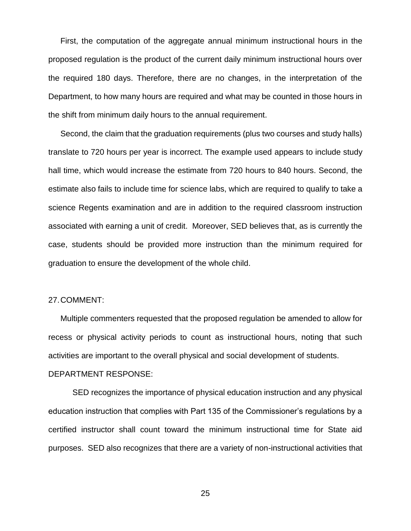First, the computation of the aggregate annual minimum instructional hours in the proposed regulation is the product of the current daily minimum instructional hours over the required 180 days. Therefore, there are no changes, in the interpretation of the Department, to how many hours are required and what may be counted in those hours in the shift from minimum daily hours to the annual requirement.

Second, the claim that the graduation requirements (plus two courses and study halls) translate to 720 hours per year is incorrect. The example used appears to include study hall time, which would increase the estimate from 720 hours to 840 hours. Second, the estimate also fails to include time for science labs, which are required to qualify to take a science Regents examination and are in addition to the required classroom instruction associated with earning a unit of credit. Moreover, SED believes that, as is currently the case, students should be provided more instruction than the minimum required for graduation to ensure the development of the whole child.

# 27.COMMENT:

Multiple commenters requested that the proposed regulation be amended to allow for recess or physical activity periods to count as instructional hours, noting that such activities are important to the overall physical and social development of students.

# DEPARTMENT RESPONSE:

SED recognizes the importance of physical education instruction and any physical education instruction that complies with Part 135 of the Commissioner's regulations by a certified instructor shall count toward the minimum instructional time for State aid purposes. SED also recognizes that there are a variety of non-instructional activities that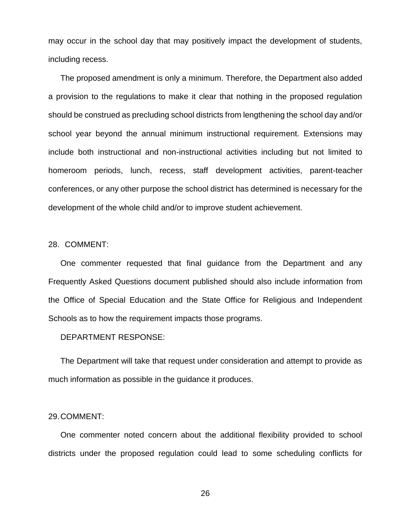may occur in the school day that may positively impact the development of students, including recess.

The proposed amendment is only a minimum. Therefore, the Department also added a provision to the regulations to make it clear that nothing in the proposed regulation should be construed as precluding school districts from lengthening the school day and/or school year beyond the annual minimum instructional requirement. Extensions may include both instructional and non-instructional activities including but not limited to homeroom periods, lunch, recess, staff development activities, parent-teacher conferences, or any other purpose the school district has determined is necessary for the development of the whole child and/or to improve student achievement.

# 28. COMMENT:

One commenter requested that final guidance from the Department and any Frequently Asked Questions document published should also include information from the Office of Special Education and the State Office for Religious and Independent Schools as to how the requirement impacts those programs.

# DEPARTMENT RESPONSE:

The Department will take that request under consideration and attempt to provide as much information as possible in the guidance it produces.

### 29.COMMENT:

One commenter noted concern about the additional flexibility provided to school districts under the proposed regulation could lead to some scheduling conflicts for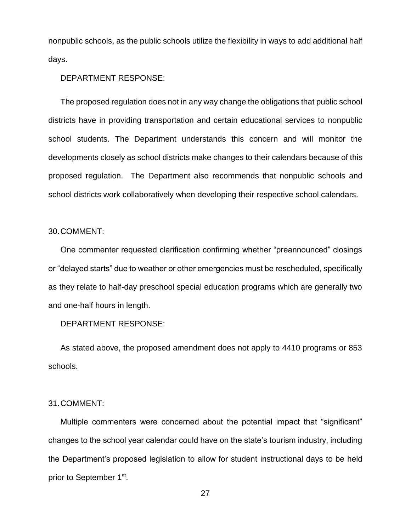nonpublic schools, as the public schools utilize the flexibility in ways to add additional half days.

# DEPARTMENT RESPONSE:

The proposed regulation does not in any way change the obligations that public school districts have in providing transportation and certain educational services to nonpublic school students. The Department understands this concern and will monitor the developments closely as school districts make changes to their calendars because of this proposed regulation. The Department also recommends that nonpublic schools and school districts work collaboratively when developing their respective school calendars.

#### 30.COMMENT:

One commenter requested clarification confirming whether "preannounced" closings or "delayed starts" due to weather or other emergencies must be rescheduled, specifically as they relate to half-day preschool special education programs which are generally two and one-half hours in length.

DEPARTMENT RESPONSE:

As stated above, the proposed amendment does not apply to 4410 programs or 853 schools.

# 31.COMMENT:

Multiple commenters were concerned about the potential impact that "significant" changes to the school year calendar could have on the state's tourism industry, including the Department's proposed legislation to allow for student instructional days to be held prior to September 1<sup>st</sup>.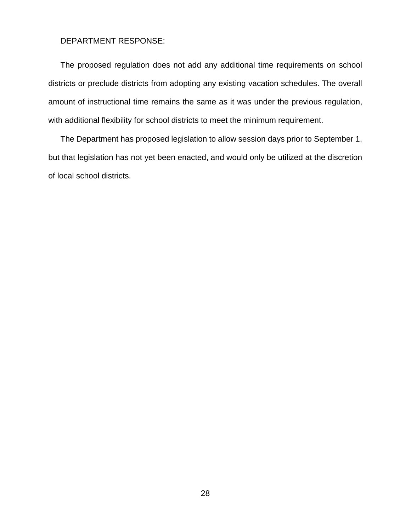#### DEPARTMENT RESPONSE:

The proposed regulation does not add any additional time requirements on school districts or preclude districts from adopting any existing vacation schedules. The overall amount of instructional time remains the same as it was under the previous regulation, with additional flexibility for school districts to meet the minimum requirement.

The Department has proposed legislation to allow session days prior to September 1, but that legislation has not yet been enacted, and would only be utilized at the discretion of local school districts.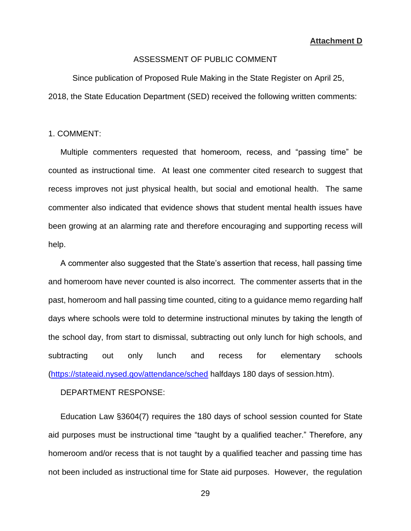**Attachment D**

# ASSESSMENT OF PUBLIC COMMENT

Since publication of Proposed Rule Making in the State Register on April 25, 2018, the State Education Department (SED) received the following written comments:

1. COMMENT:

Multiple commenters requested that homeroom, recess, and "passing time" be counted as instructional time. At least one commenter cited research to suggest that recess improves not just physical health, but social and emotional health. The same commenter also indicated that evidence shows that student mental health issues have been growing at an alarming rate and therefore encouraging and supporting recess will help.

A commenter also suggested that the State's assertion that recess, hall passing time and homeroom have never counted is also incorrect. The commenter asserts that in the past, homeroom and hall passing time counted, citing to a guidance memo regarding half days where schools were told to determine instructional minutes by taking the length of the school day, from start to dismissal, subtracting out only lunch for high schools, and subtracting out only lunch and recess for elementary schools [\(https://stateaid.nysed.gov/attendance/sched](https://stateaid.nysed.gov/attendance/sched) halfdays 180 days of session.htm).

DEPARTMENT RESPONSE:

Education Law §3604(7) requires the 180 days of school session counted for State aid purposes must be instructional time "taught by a qualified teacher." Therefore, any homeroom and/or recess that is not taught by a qualified teacher and passing time has not been included as instructional time for State aid purposes. However, the regulation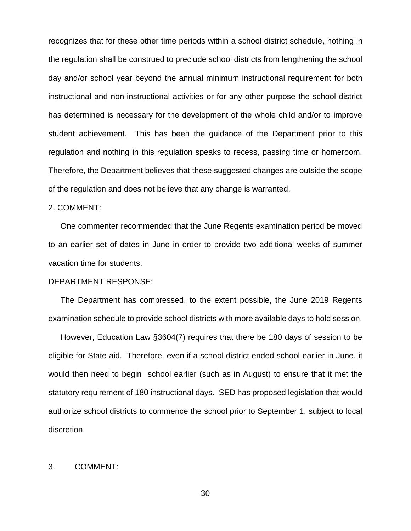recognizes that for these other time periods within a school district schedule, nothing in the regulation shall be construed to preclude school districts from lengthening the school day and/or school year beyond the annual minimum instructional requirement for both instructional and non-instructional activities or for any other purpose the school district has determined is necessary for the development of the whole child and/or to improve student achievement. This has been the guidance of the Department prior to this regulation and nothing in this regulation speaks to recess, passing time or homeroom. Therefore, the Department believes that these suggested changes are outside the scope of the regulation and does not believe that any change is warranted.

#### 2. COMMENT:

One commenter recommended that the June Regents examination period be moved to an earlier set of dates in June in order to provide two additional weeks of summer vacation time for students.

#### DEPARTMENT RESPONSE:

The Department has compressed, to the extent possible, the June 2019 Regents examination schedule to provide school districts with more available days to hold session.

However, Education Law §3604(7) requires that there be 180 days of session to be eligible for State aid. Therefore, even if a school district ended school earlier in June, it would then need to begin school earlier (such as in August) to ensure that it met the statutory requirement of 180 instructional days. SED has proposed legislation that would authorize school districts to commence the school prior to September 1, subject to local discretion.

# 3. COMMENT: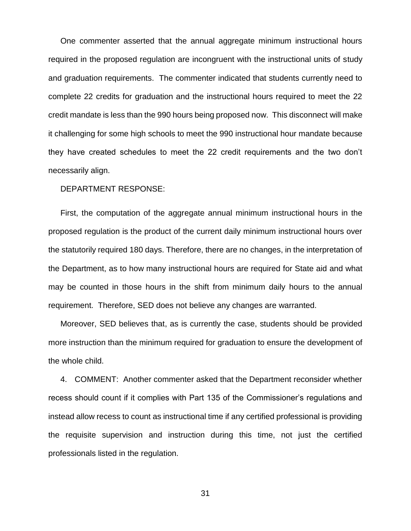One commenter asserted that the annual aggregate minimum instructional hours required in the proposed regulation are incongruent with the instructional units of study and graduation requirements. The commenter indicated that students currently need to complete 22 credits for graduation and the instructional hours required to meet the 22 credit mandate is less than the 990 hours being proposed now. This disconnect will make it challenging for some high schools to meet the 990 instructional hour mandate because they have created schedules to meet the 22 credit requirements and the two don't necessarily align.

# DEPARTMENT RESPONSE:

First, the computation of the aggregate annual minimum instructional hours in the proposed regulation is the product of the current daily minimum instructional hours over the statutorily required 180 days. Therefore, there are no changes, in the interpretation of the Department, as to how many instructional hours are required for State aid and what may be counted in those hours in the shift from minimum daily hours to the annual requirement. Therefore, SED does not believe any changes are warranted.

Moreover, SED believes that, as is currently the case, students should be provided more instruction than the minimum required for graduation to ensure the development of the whole child.

4. COMMENT: Another commenter asked that the Department reconsider whether recess should count if it complies with Part 135 of the Commissioner's regulations and instead allow recess to count as instructional time if any certified professional is providing the requisite supervision and instruction during this time, not just the certified professionals listed in the regulation.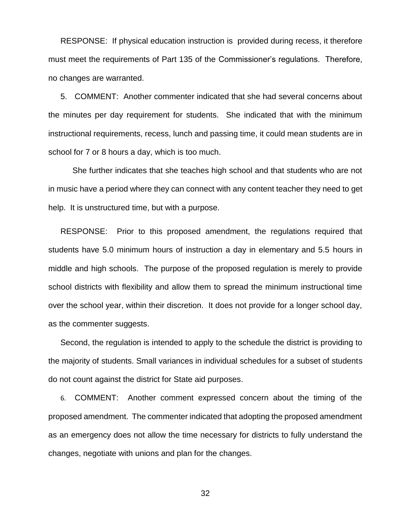RESPONSE: If physical education instruction is provided during recess, it therefore must meet the requirements of Part 135 of the Commissioner's regulations. Therefore, no changes are warranted.

5. COMMENT: Another commenter indicated that she had several concerns about the minutes per day requirement for students. She indicated that with the minimum instructional requirements, recess, lunch and passing time, it could mean students are in school for 7 or 8 hours a day, which is too much.

She further indicates that she teaches high school and that students who are not in music have a period where they can connect with any content teacher they need to get help. It is unstructured time, but with a purpose.

RESPONSE: Prior to this proposed amendment, the regulations required that students have 5.0 minimum hours of instruction a day in elementary and 5.5 hours in middle and high schools. The purpose of the proposed regulation is merely to provide school districts with flexibility and allow them to spread the minimum instructional time over the school year, within their discretion. It does not provide for a longer school day, as the commenter suggests.

Second, the regulation is intended to apply to the schedule the district is providing to the majority of students. Small variances in individual schedules for a subset of students do not count against the district for State aid purposes.

6. COMMENT: Another comment expressed concern about the timing of the proposed amendment. The commenter indicated that adopting the proposed amendment as an emergency does not allow the time necessary for districts to fully understand the changes, negotiate with unions and plan for the changes.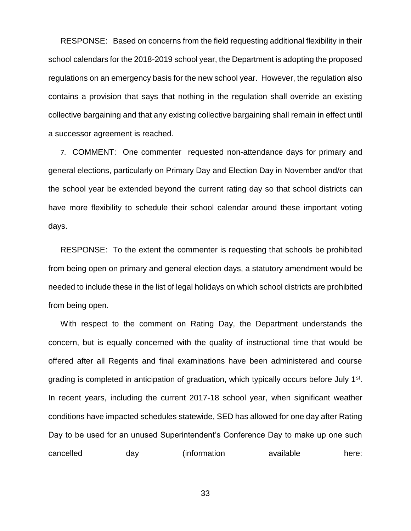RESPONSE: Based on concerns from the field requesting additional flexibility in their school calendars for the 2018-2019 school year, the Department is adopting the proposed regulations on an emergency basis for the new school year. However, the regulation also contains a provision that says that nothing in the regulation shall override an existing collective bargaining and that any existing collective bargaining shall remain in effect until a successor agreement is reached.

7. COMMENT: One commenter requested non-attendance days for primary and general elections, particularly on Primary Day and Election Day in November and/or that the school year be extended beyond the current rating day so that school districts can have more flexibility to schedule their school calendar around these important voting days.

RESPONSE: To the extent the commenter is requesting that schools be prohibited from being open on primary and general election days, a statutory amendment would be needed to include these in the list of legal holidays on which school districts are prohibited from being open.

With respect to the comment on Rating Day, the Department understands the concern, but is equally concerned with the quality of instructional time that would be offered after all Regents and final examinations have been administered and course grading is completed in anticipation of graduation, which typically occurs before July 1<sup>st</sup>. In recent years, including the current 2017-18 school year, when significant weather conditions have impacted schedules statewide, SED has allowed for one day after Rating Day to be used for an unused Superintendent's Conference Day to make up one such cancelled day (information available here: